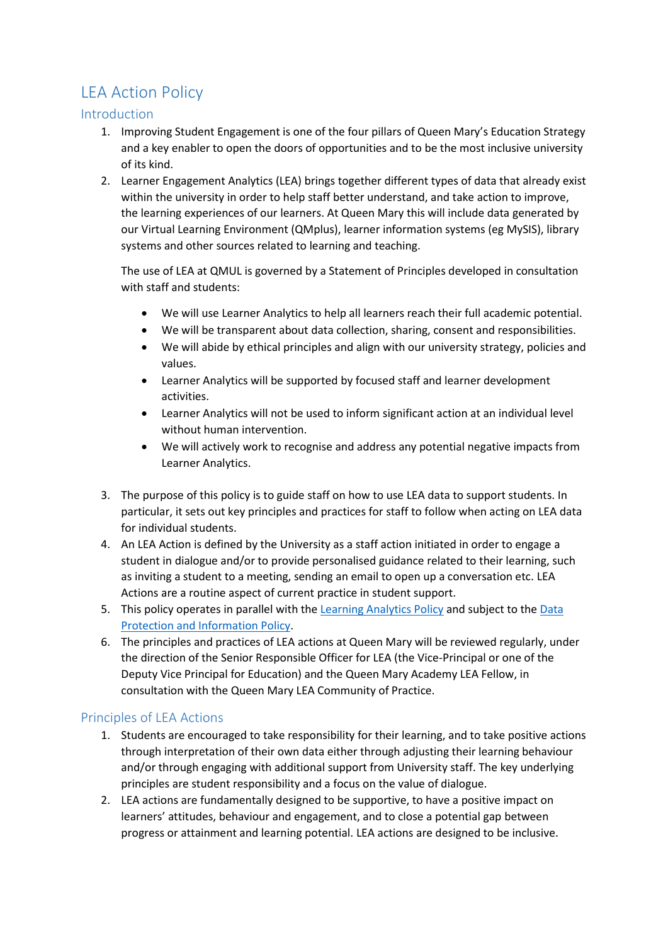## LEA Action Policy

## Introduction

- 1. Improving Student Engagement is one of the four pillars of Queen Mary's Education Strategy and a key enabler to open the doors of opportunities and to be the most inclusive university of its kind.
- 2. Learner Engagement Analytics (LEA) brings together different types of data that already exist within the university in order to help staff better understand, and take action to improve, the learning experiences of our learners. At Queen Mary this will include data generated by our Virtual Learning Environment (QMplus), learner information systems (eg MySIS), library systems and other sources related to learning and teaching.

The use of LEA at QMUL is governed by a Statement of Principles developed in consultation with staff and students:

- We will use Learner Analytics to help all learners reach their full academic potential.
- We will be transparent about data collection, sharing, consent and responsibilities.
- We will abide by ethical principles and align with our university strategy, policies and values.
- Learner Analytics will be supported by focused staff and learner development activities.
- Learner Analytics will not be used to inform significant action at an individual level without human intervention.
- We will actively work to recognise and address any potential negative impacts from Learner Analytics.
- 3. The purpose of this policy is to guide staff on how to use LEA data to support students. In particular, it sets out key principles and practices for staff to follow when acting on LEA data for individual students.
- 4. An LEA Action is defined by the University as a staff action initiated in order to engage a student in dialogue and/or to provide personalised guidance related to their learning, such as inviting a student to a meeting, sending an email to open up a conversation etc. LEA Actions are a routine aspect of current practice in student support.
- 5. This policy operates in parallel with th[e Learning Analytics Policy](https://arcs.qmul.ac.uk/media/arcs/policyzone/Learner-Analytics-Governance.pdf) and subject to the [Data](https://arcs.qmul.ac.uk/media/arcs/policyzone/Data-Protection-Policy-v03.0.pdf)  [Protection and Information Policy.](https://arcs.qmul.ac.uk/media/arcs/policyzone/Data-Protection-Policy-v03.0.pdf)
- 6. The principles and practices of LEA actions at Queen Mary will be reviewed regularly, under the direction of the Senior Responsible Officer for LEA (the Vice-Principal or one of the Deputy Vice Principal for Education) and the Queen Mary Academy LEA Fellow, in consultation with the Queen Mary LEA Community of Practice.

## Principles of LEA Actions

- 1. Students are encouraged to take responsibility for their learning, and to take positive actions through interpretation of their own data either through adjusting their learning behaviour and/or through engaging with additional support from University staff. The key underlying principles are student responsibility and a focus on the value of dialogue.
- 2. LEA actions are fundamentally designed to be supportive, to have a positive impact on learners' attitudes, behaviour and engagement, and to close a potential gap between progress or attainment and learning potential. LEA actions are designed to be inclusive.